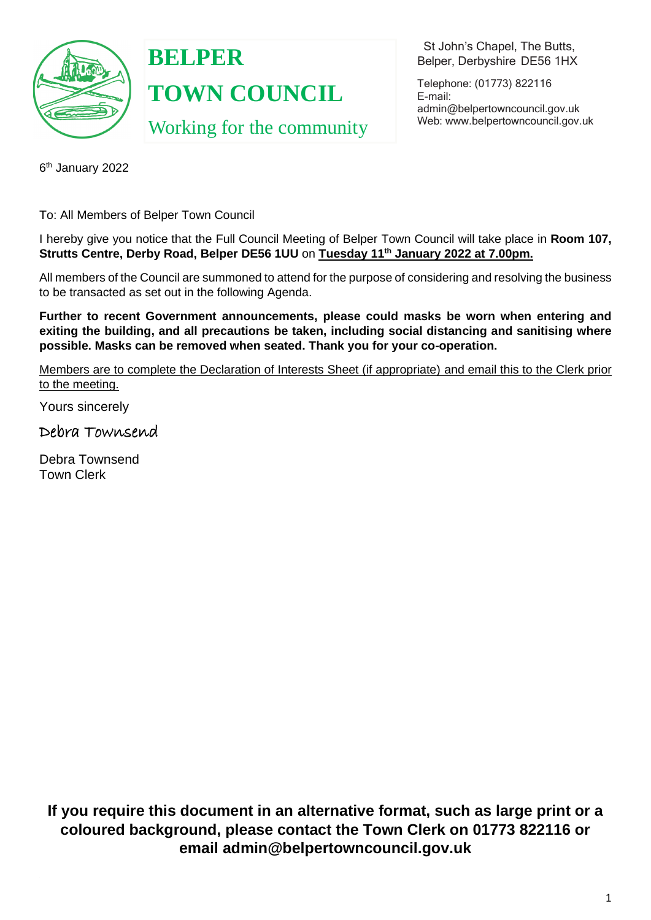

**BELPER TOWN COUNCIL** Working for the community

 St John's Chapel, The Butts, Belper, Derbyshire DE56 1HX

Telephone: (01773) 822116 E-mail: [admin@belpertowncouncil.gov.uk](mailto:admin@belpertowncouncil.gov.uk) Web: [www.belpertowncouncil.gov.uk](http://www.belpertowncouncil.gov.uk/)

6 th January 2022

To: All Members of Belper Town Council

I hereby give you notice that the Full Council Meeting of Belper Town Council will take place in **Room 107, Strutts Centre, Derby Road, Belper DE56 1UU** on **Tuesday 11th January 2022 at 7.00pm.**

All members of the Council are summoned to attend for the purpose of considering and resolving the business to be transacted as set out in the following Agenda.

**Further to recent Government announcements, please could masks be worn when entering and exiting the building, and all precautions be taken, including social distancing and sanitising where possible. Masks can be removed when seated. Thank you for your co-operation.**

Members are to complete the Declaration of Interests Sheet (if appropriate) and email this to the Clerk prior to the meeting.

Yours sincerely

Debra Townsend

Debra Townsend Town Clerk

**If you require this document in an alternative format, such as large print or a coloured background, please contact the Town Clerk on 01773 822116 or email admin@belpertowncouncil.gov.uk**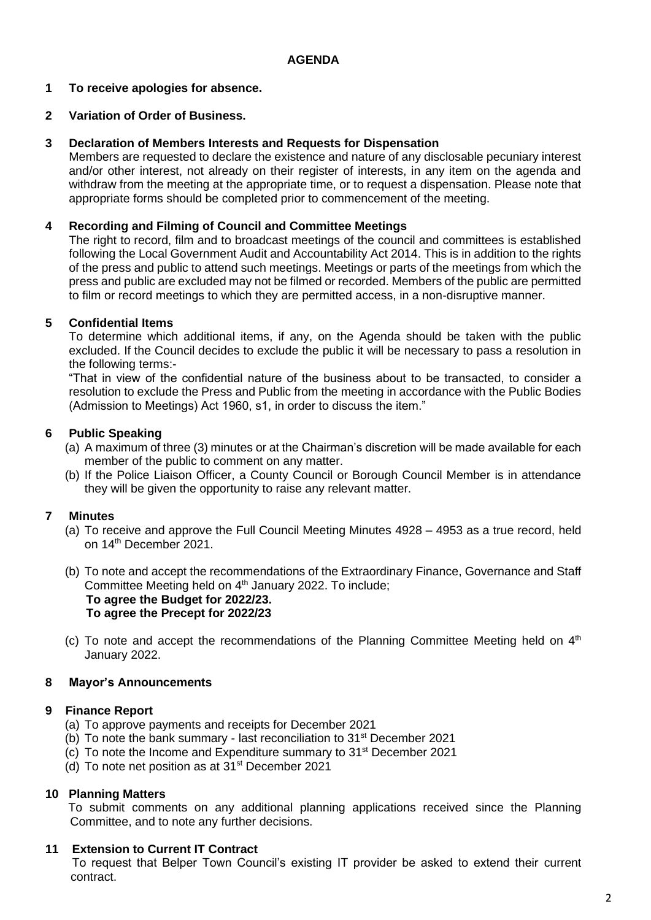## **AGENDA**

## **1 To receive apologies for absence.**

## **2 Variation of Order of Business.**

### **3 Declaration of Members Interests and Requests for Dispensation**

Members are requested to declare the existence and nature of any disclosable pecuniary interest and/or other interest, not already on their register of interests, in any item on the agenda and withdraw from the meeting at the appropriate time, or to request a dispensation. Please note that appropriate forms should be completed prior to commencement of the meeting.

### **4 Recording and Filming of Council and Committee Meetings**

The right to record, film and to broadcast meetings of the council and committees is established following the Local Government Audit and Accountability Act 2014. This is in addition to the rights of the press and public to attend such meetings. Meetings or parts of the meetings from which the press and public are excluded may not be filmed or recorded. Members of the public are permitted to film or record meetings to which they are permitted access, in a non-disruptive manner.

## **5 Confidential Items**

To determine which additional items, if any, on the Agenda should be taken with the public excluded. If the Council decides to exclude the public it will be necessary to pass a resolution in the following terms:-

"That in view of the confidential nature of the business about to be transacted, to consider a resolution to exclude the Press and Public from the meeting in accordance with the Public Bodies (Admission to Meetings) Act 1960, s1, in order to discuss the item."

#### **6 Public Speaking**

- (a) A maximum of three (3) minutes or at the Chairman's discretion will be made available for each member of the public to comment on any matter.
- (b) If the Police Liaison Officer, a County Council or Borough Council Member is in attendance they will be given the opportunity to raise any relevant matter.

## **7 Minutes**

- (a) To receive and approve the Full Council Meeting Minutes 4928 4953 as a true record, held on 14th December 2021.
- (b) To note and accept the recommendations of the Extraordinary Finance, Governance and Staff Committee Meeting held on 4<sup>th</sup> January 2022. To include; **To agree the Budget for 2022/23. To agree the Precept for 2022/23**
- (c) To note and accept the recommendations of the Planning Committee Meeting held on  $4<sup>th</sup>$ January 2022.

## **8 Mayor's Announcements**

#### **9 Finance Report**

- (a) To approve payments and receipts for December 2021
- (b) To note the bank summary last reconciliation to 31st December 2021
- (c) To note the Income and Expenditure summary to 31st December 2021
- (d) To note net position as at 31st December 2021

## **10 Planning Matters**

To submit comments on any additional planning applications received since the Planning Committee, and to note any further decisions.

#### **11 Extension to Current IT Contract**

To request that Belper Town Council's existing IT provider be asked to extend their current contract.